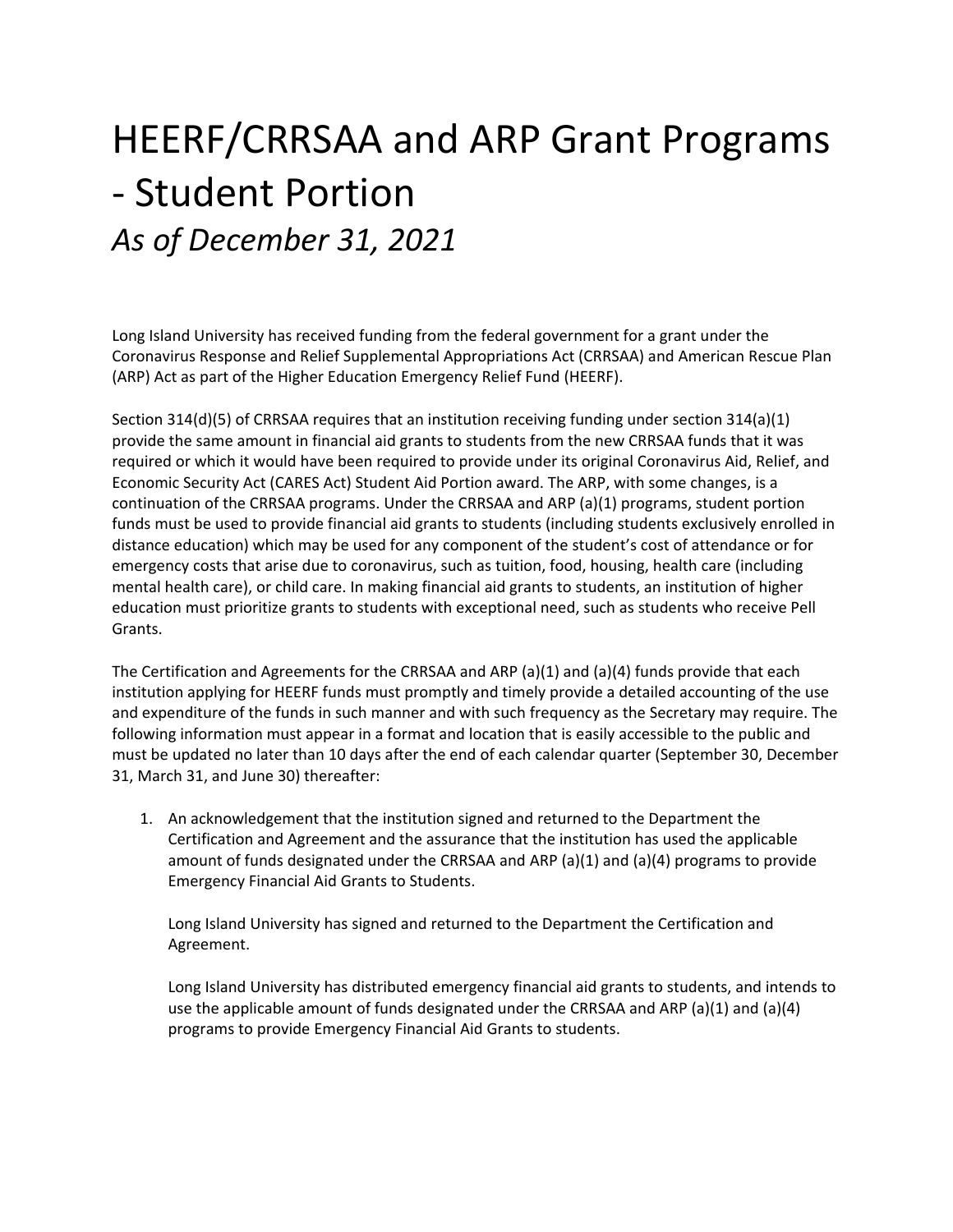## HEERF/CRRSAA and ARP Grant Programs ‐ Student Portion *As of December 31, 2021*

Long Island University has received funding from the federal government for a grant under the Coronavirus Response and Relief Supplemental Appropriations Act (CRRSAA) and American Rescue Plan (ARP) Act as part of the Higher Education Emergency Relief Fund (HEERF).

Section 314(d)(5) of CRRSAA requires that an institution receiving funding under section 314(a)(1) provide the same amount in financial aid grants to students from the new CRRSAA funds that it was required or which it would have been required to provide under its original Coronavirus Aid, Relief, and Economic Security Act (CARES Act) Student Aid Portion award. The ARP, with some changes, is a continuation of the CRRSAA programs. Under the CRRSAA and ARP (a)(1) programs, student portion funds must be used to provide financial aid grants to students (including students exclusively enrolled in distance education) which may be used for any component of the student's cost of attendance or for emergency costs that arise due to coronavirus, such as tuition, food, housing, health care (including mental health care), or child care. In making financial aid grants to students, an institution of higher education must prioritize grants to students with exceptional need, such as students who receive Pell Grants.

The Certification and Agreements for the CRRSAA and ARP (a)(1) and (a)(4) funds provide that each institution applying for HEERF funds must promptly and timely provide a detailed accounting of the use and expenditure of the funds in such manner and with such frequency as the Secretary may require. The following information must appear in a format and location that is easily accessible to the public and must be updated no later than 10 days after the end of each calendar quarter (September 30, December 31, March 31, and June 30) thereafter:

1. An acknowledgement that the institution signed and returned to the Department the Certification and Agreement and the assurance that the institution has used the applicable amount of funds designated under the CRRSAA and ARP (a)(1) and (a)(4) programs to provide Emergency Financial Aid Grants to Students.

Long Island University has signed and returned to the Department the Certification and Agreement.

Long Island University has distributed emergency financial aid grants to students, and intends to use the applicable amount of funds designated under the CRRSAA and ARP (a)(1) and (a)(4) programs to provide Emergency Financial Aid Grants to students.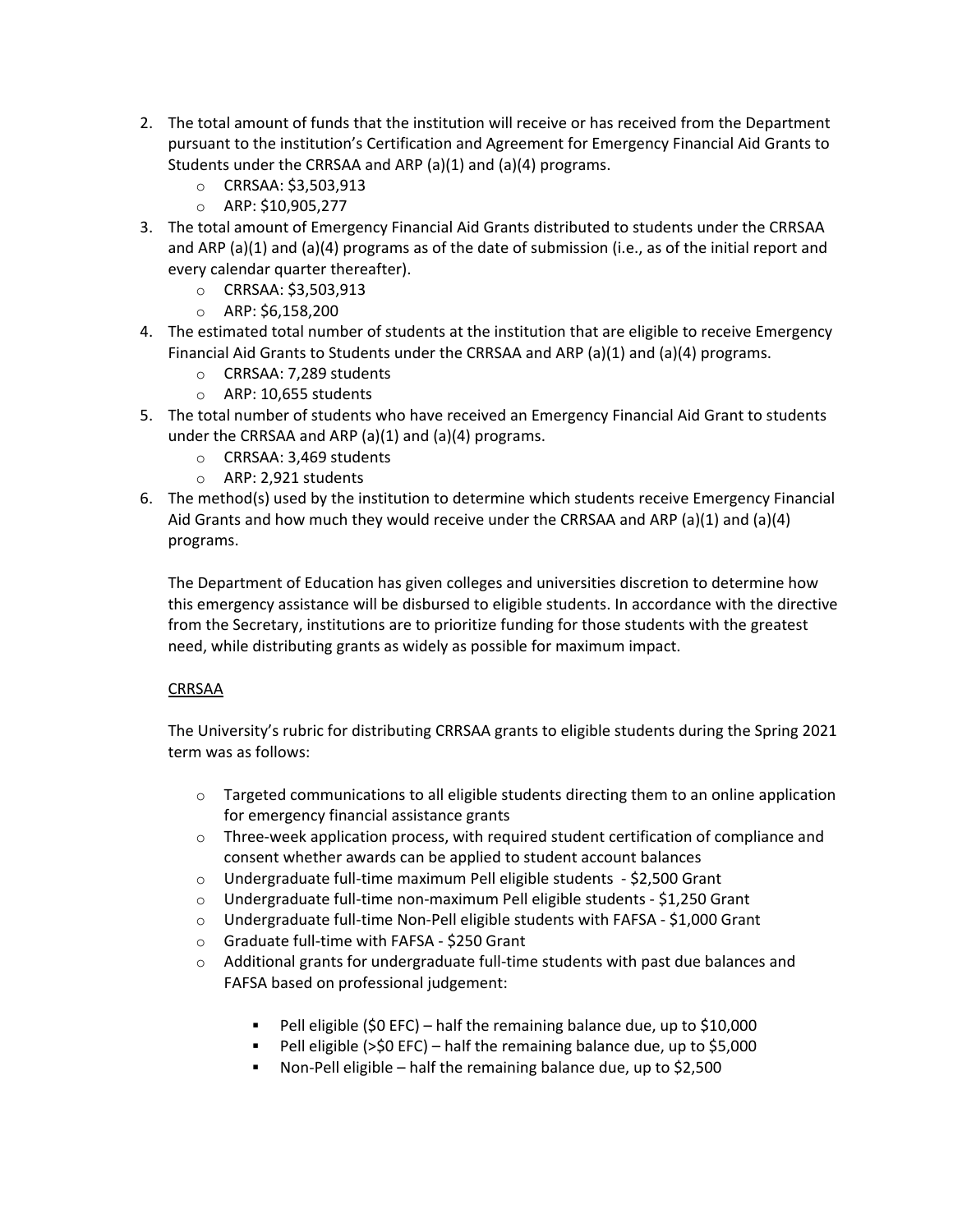- 2. The total amount of funds that the institution will receive or has received from the Department pursuant to the institution's Certification and Agreement for Emergency Financial Aid Grants to Students under the CRRSAA and ARP  $(a)(1)$  and  $(a)(4)$  programs.
	- o CRRSAA: \$3,503,913
	- o ARP: \$10,905,277
- 3. The total amount of Emergency Financial Aid Grants distributed to students under the CRRSAA and ARP (a)(1) and (a)(4) programs as of the date of submission (i.e., as of the initial report and every calendar quarter thereafter).
	- o CRRSAA: \$3,503,913
	- o ARP: \$6,158,200
- 4. The estimated total number of students at the institution that are eligible to receive Emergency Financial Aid Grants to Students under the CRRSAA and ARP (a)(1) and (a)(4) programs.
	- o CRRSAA: 7,289 students
	- o ARP: 10,655 students
- 5. The total number of students who have received an Emergency Financial Aid Grant to students under the CRRSAA and ARP (a)(1) and (a)(4) programs.
	- o CRRSAA: 3,469 students
	- o ARP: 2,921 students
- 6. The method(s) used by the institution to determine which students receive Emergency Financial Aid Grants and how much they would receive under the CRRSAA and ARP (a)(1) and (a)(4) programs.

The Department of Education has given colleges and universities discretion to determine how this emergency assistance will be disbursed to eligible students. In accordance with the directive from the Secretary, institutions are to prioritize funding for those students with the greatest need, while distributing grants as widely as possible for maximum impact.

## CRRSAA

The University's rubric for distributing CRRSAA grants to eligible students during the Spring 2021 term was as follows:

- $\circ$  Targeted communications to all eligible students directing them to an online application for emergency financial assistance grants
- $\circ$  Three-week application process, with required student certification of compliance and consent whether awards can be applied to student account balances
- o Undergraduate full‐time maximum Pell eligible students ‐ \$2,500 Grant
- o Undergraduate full‐time non‐maximum Pell eligible students ‐ \$1,250 Grant
- o Undergraduate full‐time Non‐Pell eligible students with FAFSA ‐ \$1,000 Grant
- o Graduate full‐time with FAFSA ‐ \$250 Grant
- $\circ$  Additional grants for undergraduate full-time students with past due balances and FAFSA based on professional judgement:
	- Pell eligible (\$0 EFC) half the remaining balance due, up to \$10,000
	- Pell eligible ( $>50$  EFC) half the remaining balance due, up to  $$5,000$
	- Non‐Pell eligible half the remaining balance due, up to \$2,500